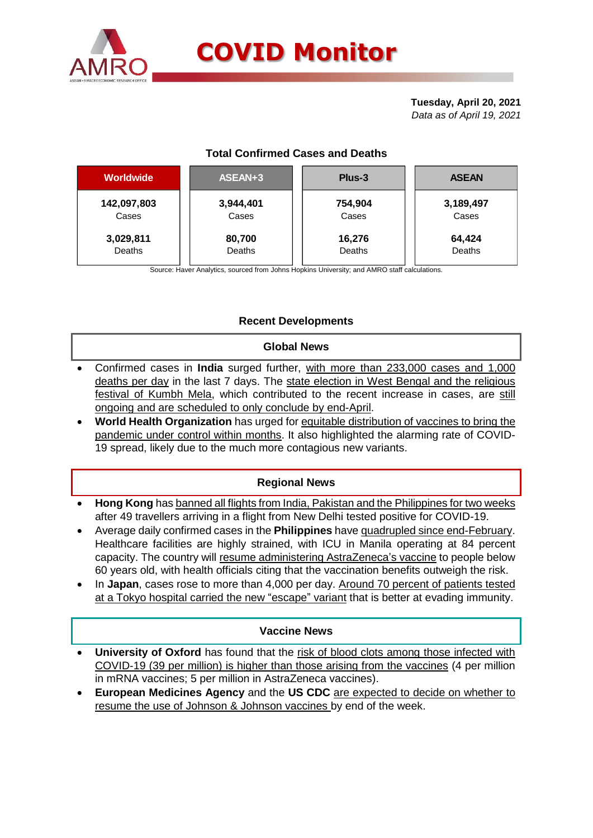

# **COVID Monitor**

#### **Tuesday, April 20, 2021** *Data as of April 19, 2021*

# **Total Confirmed Cases and Deaths**

| <b>Worldwide</b> | ASEAN+3       | Plus-3  | <b>ASEAN</b> |
|------------------|---------------|---------|--------------|
| 142,097,803      | 3,944,401     | 754,904 | 3,189,497    |
| Cases            | Cases         | Cases   | Cases        |
| 3,029,811        | 80,700        | 16,276  | 64,424       |
| Deaths           | <b>Deaths</b> | Deaths  | Deaths       |

Source: Haver Analytics, sourced from Johns Hopkins University; and AMRO staff calculations.

## **Recent Developments**

## **Global News**

- Confirmed cases in **India** surged further, with more than 233,000 cases and 1,000 deaths per day in the last 7 days. The state election in West Bengal and the religious festival of Kumbh Mela, which contributed to the recent increase in cases, are still ongoing and are scheduled to only conclude by end-April.
- **World Health Organization** has urged for equitable distribution of vaccines to bring the pandemic under control within months. It also highlighted the alarming rate of COVID-19 spread, likely due to the much more contagious new variants.

## **Regional News**

- **Hong Kong** has banned all flights from India, Pakistan and the Philippines for two weeks after 49 travellers arriving in a flight from New Delhi tested positive for COVID-19.
- Average daily confirmed cases in the **Philippines** have quadrupled since end-February. Healthcare facilities are highly strained, with ICU in Manila operating at 84 percent capacity. The country will resume administering AstraZeneca's vaccine to people below 60 years old, with health officials citing that the vaccination benefits outweigh the risk.
- In **Japan**, cases rose to more than 4,000 per day. Around 70 percent of patients tested at a Tokyo hospital carried the new "escape" variant that is better at evading immunity.

## **Vaccine News**

- **University of Oxford** has found that the risk of blood clots among those infected with COVID-19 (39 per million) is higher than those arising from the vaccines (4 per million in mRNA vaccines; 5 per million in AstraZeneca vaccines).
- **European Medicines Agency** and the **US CDC** are expected to decide on whether to resume the use of Johnson & Johnson vaccines by end of the week.